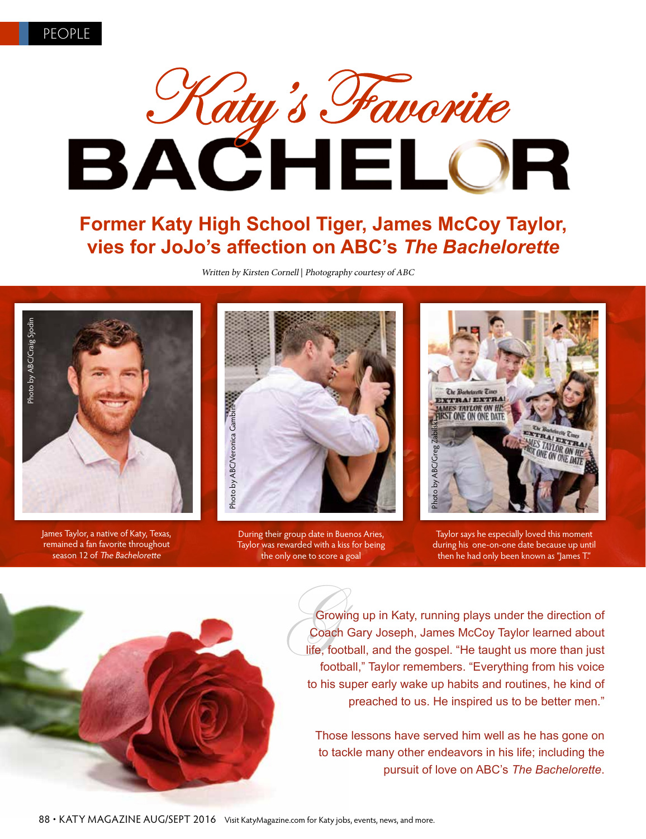

### **Former Katy High School Tiger, James McCoy Taylor, vies for JoJo's affection on ABC's** *The Bachelorette*

Written by Kirsten Cornell | Photography courtesy of ABC



James Taylor, a native of Katy, Texas, remained a fan favorite throughout season 12 of The Bachelorette

During their group date in Buenos Aries, Taylor was rewarded with a kiss for being the only one to score a goal

Taylor says he especially loved this moment during his one-on-one date because up until then he had only been known as "James T."

Growing up in Katy, running plays under the direction of Coach Gary Joseph, James McCoy Taylor learned about life, football, and the gospel. "He taught us more than just football," Taylor remembers. "Everything from his voice to his super early wake up habits and routines, he kind of preached to us. He inspired us to be better men."

Those lessons have served him well as he has gone on to tackle many other endeavors in his life; including the pursuit of love on ABC's *The Bachelorette*.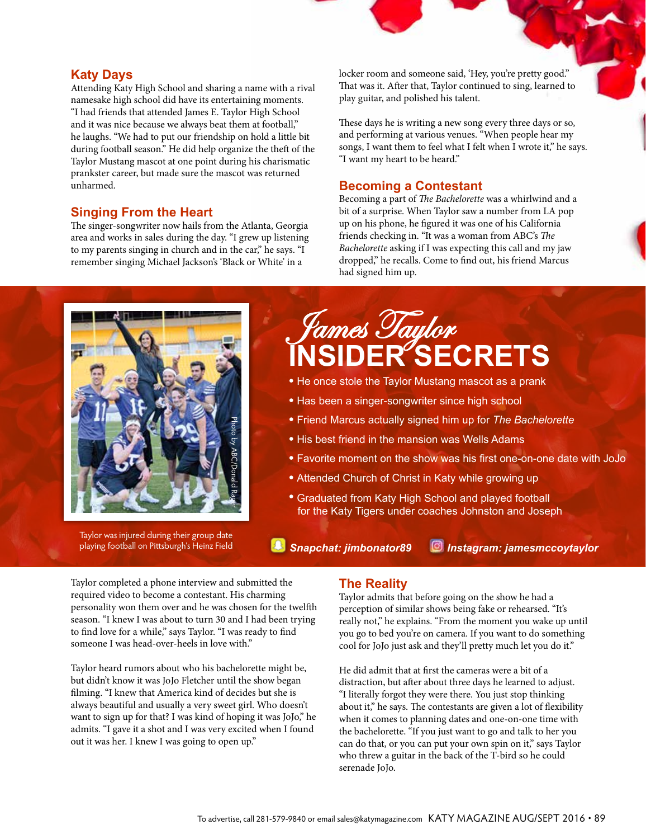#### **Katy Days**

Attending Katy High School and sharing a name with a rival namesake high school did have its entertaining moments. "I had friends that attended James E. Taylor High School and it was nice because we always beat them at football," he laughs. "We had to put our friendship on hold a little bit during football season." He did help organize the theft of the Taylor Mustang mascot at one point during his charismatic prankster career, but made sure the mascot was returned unharmed.

#### **Singing From the Heart**

The singer-songwriter now hails from the Atlanta, Georgia area and works in sales during the day. "I grew up listening to my parents singing in church and in the car," he says. "I remember singing Michael Jackson's 'Black or White' in a

locker room and someone said, 'Hey, you're pretty good." That was it. After that, Taylor continued to sing, learned to play guitar, and polished his talent.

These days he is writing a new song every three days or so, and performing at various venues. "When people hear my songs, I want them to feel what I felt when I wrote it," he says. "I want my heart to be heard."

#### **Becoming a Contestant**

Becoming a part of *The Bachelorette* was a whirlwind and a bit of a surprise. When Taylor saw a number from LA pop up on his phone, he figured it was one of his California friends checking in. "It was a woman from ABC's *The Bachelorette* asking if I was expecting this call and my jaw dropped," he recalls. Come to find out, his friend Marcus had signed him up.



Taylor was injured during their group date playing football on Pittsburgh's Heinz Field

# James Taylor **INSIDER SECRETS**

- He once stole the Taylor Mustang mascot as a prank
- Has been a singer-songwriter since high school
- Friend Marcus actually signed him up for *The Bachelorette*
- His best friend in the mansion was Wells Adams
- Favorite moment on the show was his first one-on-one date with JoJo
- Attended Church of Christ in Katy while growing up
- Graduated from Katy High School and played football for the Katy Tigers under coaches Johnston and Joseph

*Snapchat: jimbonator89 Instagram: jamesmccoytaylor*

Taylor completed a phone interview and submitted the required video to become a contestant. His charming personality won them over and he was chosen for the twelfth season. "I knew I was about to turn 30 and I had been trying to find love for a while," says Taylor. "I was ready to find someone I was head-over-heels in love with."

Taylor heard rumors about who his bachelorette might be, but didn't know it was JoJo Fletcher until the show began filming. "I knew that America kind of decides but she is always beautiful and usually a very sweet girl. Who doesn't want to sign up for that? I was kind of hoping it was JoJo," he admits. "I gave it a shot and I was very excited when I found out it was her. I knew I was going to open up."

#### **The Reality**

Taylor admits that before going on the show he had a perception of similar shows being fake or rehearsed. "It's really not," he explains. "From the moment you wake up until you go to bed you're on camera. If you want to do something cool for JoJo just ask and they'll pretty much let you do it."

He did admit that at first the cameras were a bit of a distraction, but after about three days he learned to adjust. "I literally forgot they were there. You just stop thinking about it," he says. The contestants are given a lot of flexibility when it comes to planning dates and one-on-one time with the bachelorette. "If you just want to go and talk to her you can do that, or you can put your own spin on it," says Taylor who threw a guitar in the back of the T-bird so he could serenade JoJo.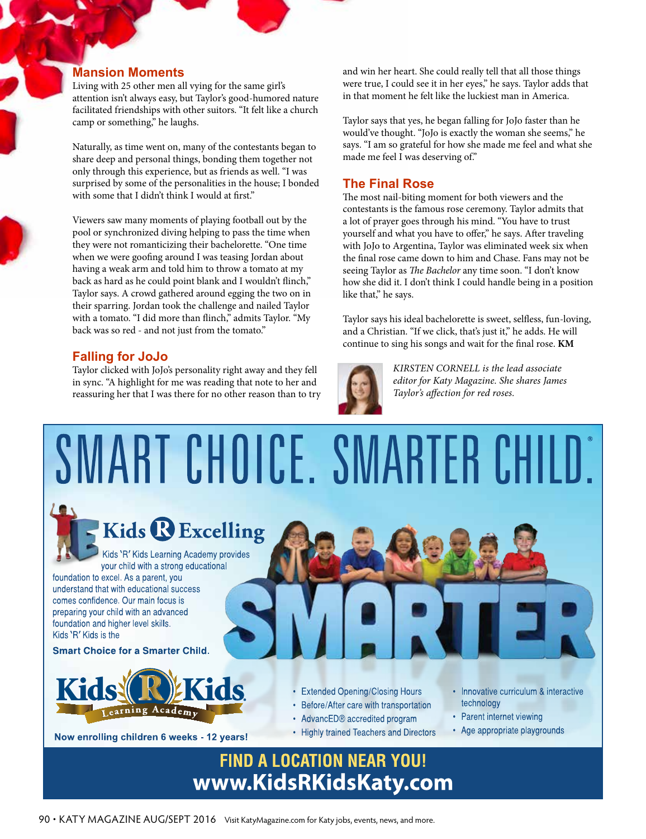#### **Mansion Moments**

Living with 25 other men all vying for the same girl's attention isn't always easy, but Taylor's good-humored nature facilitated friendships with other suitors. "It felt like a church camp or something," he laughs.

Naturally, as time went on, many of the contestants began to share deep and personal things, bonding them together not only through this experience, but as friends as well. "I was surprised by some of the personalities in the house; I bonded with some that I didn't think I would at first."

Viewers saw many moments of playing football out by the pool or synchronized diving helping to pass the time when they were not romanticizing their bachelorette. "One time when we were goofing around I was teasing Jordan about having a weak arm and told him to throw a tomato at my back as hard as he could point blank and I wouldn't flinch," Taylor says. A crowd gathered around egging the two on in their sparring. Jordan took the challenge and nailed Taylor with a tomato. "I did more than flinch," admits Taylor. "My back was so red - and not just from the tomato."

#### **Falling for JoJo**

Taylor clicked with JoJo's personality right away and they fell in sync. "A highlight for me was reading that note to her and reassuring her that I was there for no other reason than to try and win her heart. She could really tell that all those things were true, I could see it in her eyes," he says. Taylor adds that in that moment he felt like the luckiest man in America.

Taylor says that yes, he began falling for JoJo faster than he would've thought. "JoJo is exactly the woman she seems," he says. "I am so grateful for how she made me feel and what she made me feel I was deserving of."

#### **The Final Rose**

The most nail-biting moment for both viewers and the contestants is the famous rose ceremony. Taylor admits that a lot of prayer goes through his mind. "You have to trust yourself and what you have to offer," he says. After traveling with JoJo to Argentina, Taylor was eliminated week six when the final rose came down to him and Chase. Fans may not be seeing Taylor as *The Bachelor* any time soon. "I don't know how she did it. I don't think I could handle being in a position like that," he says.

Taylor says his ideal bachelorette is sweet, selfless, fun-loving, and a Christian. "If we click, that's just it," he adds. He will continue to sing his songs and wait for the final rose. **KM**



*KIRSTEN CORNELL is the lead associate editor for Katy Magazine. She shares James Taylor's affection for red roses.* 



90 • KATY MAGAZINE AUG/SEPT 2016 Visit KatyMagazine.com for Katy jobs, events, news, and more.